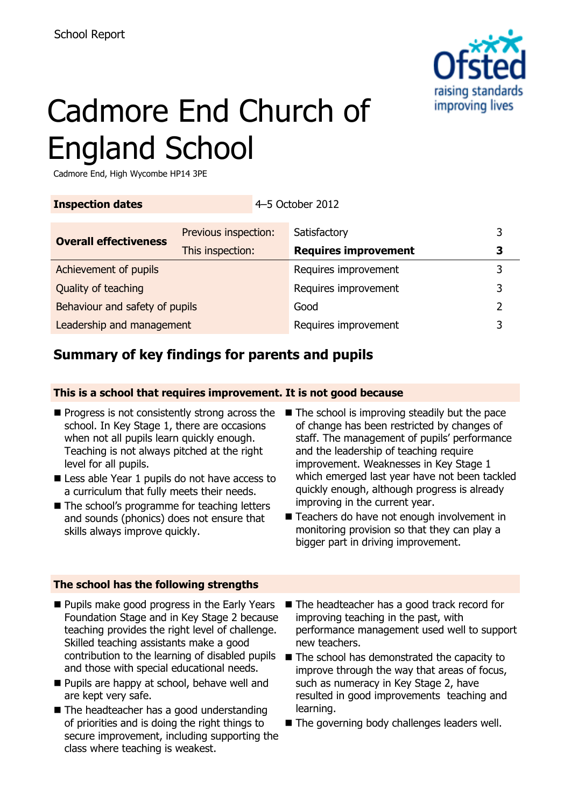

# Cadmore End Church of England School

Cadmore End, High Wycombe HP14 3PE

| <b>Inspection dates</b>        |                      | 4-5 October 2012            |               |
|--------------------------------|----------------------|-----------------------------|---------------|
| <b>Overall effectiveness</b>   | Previous inspection: | Satisfactory                | 3             |
|                                | This inspection:     | <b>Requires improvement</b> | 3             |
| Achievement of pupils          |                      | Requires improvement        | 3             |
| Quality of teaching            |                      | Requires improvement        | 3             |
| Behaviour and safety of pupils |                      | Good                        | $\mathcal{P}$ |
| Leadership and management      |                      | Requires improvement        | 3             |

# **Summary of key findings for parents and pupils**

### **This is a school that requires improvement. It is not good because**

- school. In Key Stage 1, there are occasions when not all pupils learn quickly enough. Teaching is not always pitched at the right level for all pupils.
- Less able Year 1 pupils do not have access to a curriculum that fully meets their needs.
- The school's programme for teaching letters and sounds (phonics) does not ensure that skills always improve quickly.
- $\blacksquare$  Progress is not consistently strong across the  $\blacksquare$  The school is improving steadily but the pace of change has been restricted by changes of staff. The management of pupils' performance and the leadership of teaching require improvement. Weaknesses in Key Stage 1 which emerged last year have not been tackled quickly enough, although progress is already improving in the current year.
	- Teachers do have not enough involvement in monitoring provision so that they can play a bigger part in driving improvement.

### **The school has the following strengths**

- **Pupils make good progress in the Early Years** Foundation Stage and in Key Stage 2 because teaching provides the right level of challenge. Skilled teaching assistants make a good contribution to the learning of disabled pupils The school has demonstrated the capacity to and those with special educational needs.
- **Pupils are happy at school, behave well and** are kept very safe.
- The headteacher has a good understanding of priorities and is doing the right things to secure improvement, including supporting the class where teaching is weakest.
- The headteacher has a good track record for improving teaching in the past, with performance management used well to support new teachers.
- improve through the way that areas of focus, such as numeracy in Key Stage 2, have resulted in good improvements teaching and learning.
- The governing body challenges leaders well.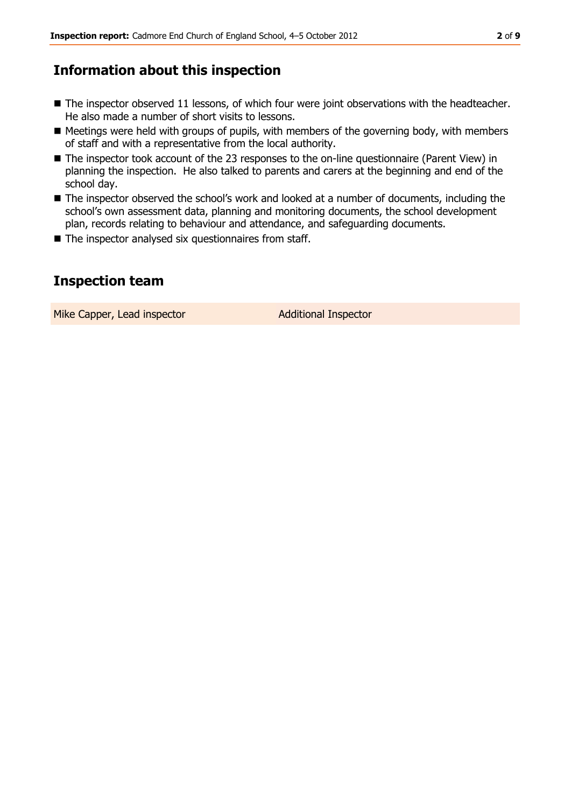# **Information about this inspection**

- The inspector observed 11 lessons, of which four were joint observations with the headteacher. He also made a number of short visits to lessons.
- Meetings were held with groups of pupils, with members of the governing body, with members of staff and with a representative from the local authority.
- The inspector took account of the 23 responses to the on-line questionnaire (Parent View) in planning the inspection. He also talked to parents and carers at the beginning and end of the school day.
- The inspector observed the school's work and looked at a number of documents, including the school's own assessment data, planning and monitoring documents, the school development plan, records relating to behaviour and attendance, and safeguarding documents.
- $\blacksquare$  The inspector analysed six questionnaires from staff.

# **Inspection team**

Mike Capper, Lead inspector **Additional Inspector**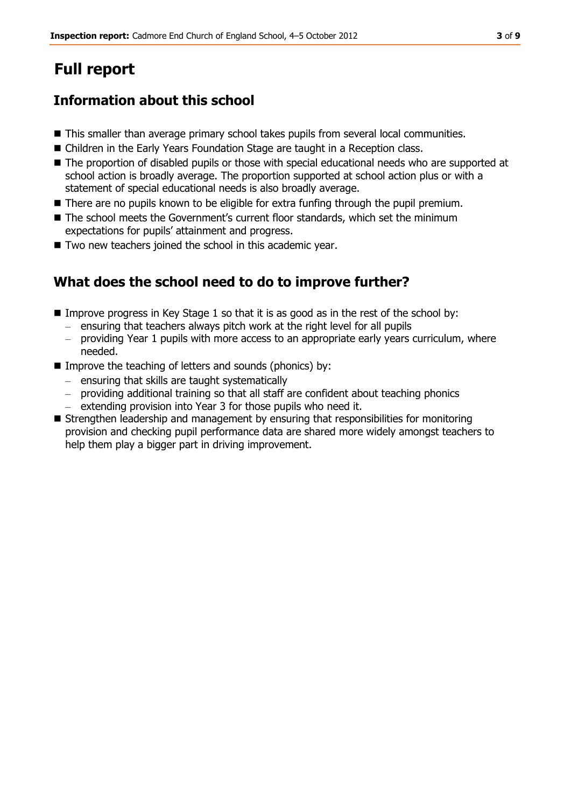# **Full report**

# **Information about this school**

- **This smaller than average primary school takes pupils from several local communities.**
- Children in the Early Years Foundation Stage are taught in a Reception class.
- $\blacksquare$  The proportion of disabled pupils or those with special educational needs who are supported at school action is broadly average. The proportion supported at school action plus or with a statement of special educational needs is also broadly average.
- There are no pupils known to be eligible for extra funfing through the pupil premium.
- The school meets the Government's current floor standards, which set the minimum expectations for pupils' attainment and progress.
- Two new teachers joined the school in this academic year.

# **What does the school need to do to improve further?**

- Improve progress in Key Stage 1 so that it is as good as in the rest of the school by:
	- ensuring that teachers always pitch work at the right level for all pupils
	- providing Year 1 pupils with more access to an appropriate early years curriculum, where needed.
- Improve the teaching of letters and sounds (phonics) by:
	- ensuring that skills are taught systematically
	- providing additional training so that all staff are confident about teaching phonics
	- extending provision into Year 3 for those pupils who need it.
- Strengthen leadership and management by ensuring that responsibilities for monitoring provision and checking pupil performance data are shared more widely amongst teachers to help them play a bigger part in driving improvement.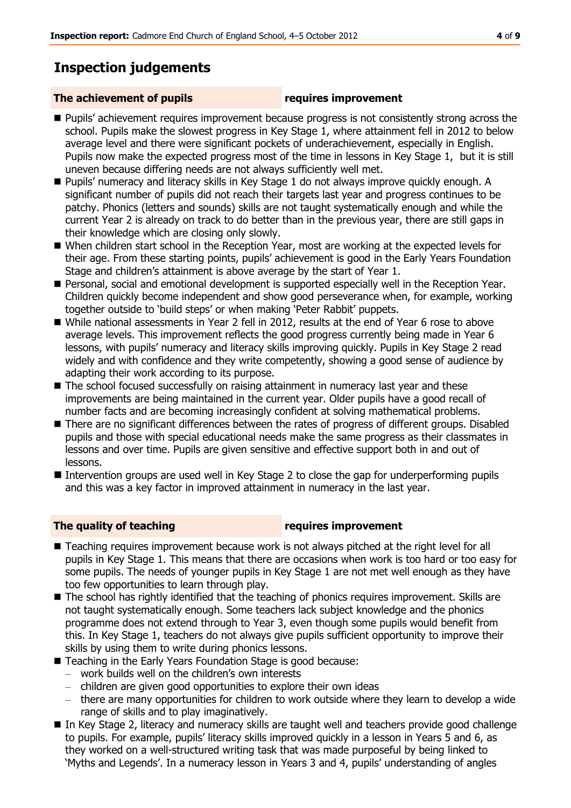# **Inspection judgements**

#### **The achievement of pupils requires improvement**

- **Pupils' achievement requires improvement because progress is not consistently strong across the** school. Pupils make the slowest progress in Key Stage 1, where attainment fell in 2012 to below average level and there were significant pockets of underachievement, especially in English. Pupils now make the expected progress most of the time in lessons in Key Stage 1, but it is still uneven because differing needs are not always sufficiently well met.
- Pupils' numeracy and literacy skills in Key Stage 1 do not always improve quickly enough. A significant number of pupils did not reach their targets last year and progress continues to be patchy. Phonics (letters and sounds) skills are not taught systematically enough and while the current Year 2 is already on track to do better than in the previous year, there are still gaps in their knowledge which are closing only slowly.
- When children start school in the Reception Year, most are working at the expected levels for their age. From these starting points, pupils' achievement is good in the Early Years Foundation Stage and children's attainment is above average by the start of Year 1.
- **Personal, social and emotional development is supported especially well in the Reception Year.** Children quickly become independent and show good perseverance when, for example, working together outside to 'build steps' or when making 'Peter Rabbit' puppets.
- While national assessments in Year 2 fell in 2012, results at the end of Year 6 rose to above average levels. This improvement reflects the good progress currently being made in Year 6 lessons, with pupils' numeracy and literacy skills improving quickly. Pupils in Key Stage 2 read widely and with confidence and they write competently, showing a good sense of audience by adapting their work according to its purpose.
- The school focused successfully on raising attainment in numeracy last year and these improvements are being maintained in the current year. Older pupils have a good recall of number facts and are becoming increasingly confident at solving mathematical problems.
- **There are no significant differences between the rates of progress of different groups. Disabled** pupils and those with special educational needs make the same progress as their classmates in lessons and over time. Pupils are given sensitive and effective support both in and out of lessons.
- Intervention groups are used well in Key Stage 2 to close the gap for underperforming pupils and this was a key factor in improved attainment in numeracy in the last year.

#### **The quality of teaching requires improvement**

- Teaching requires improvement because work is not always pitched at the right level for all pupils in Key Stage 1. This means that there are occasions when work is too hard or too easy for some pupils. The needs of younger pupils in Key Stage 1 are not met well enough as they have too few opportunities to learn through play.
- The school has rightly identified that the teaching of phonics requires improvement. Skills are not taught systematically enough. Some teachers lack subject knowledge and the phonics programme does not extend through to Year 3, even though some pupils would benefit from this. In Key Stage 1, teachers do not always give pupils sufficient opportunity to improve their skills by using them to write during phonics lessons.
- Teaching in the Early Years Foundation Stage is good because:
	- work builds well on the children's own interests
	- children are given good opportunities to explore their own ideas
	- there are many opportunities for children to work outside where they learn to develop a wide range of skills and to play imaginatively.
- In Key Stage 2, literacy and numeracy skills are taught well and teachers provide good challenge to pupils. For example, pupils' literacy skills improved quickly in a lesson in Years 5 and 6, as they worked on a well-structured writing task that was made purposeful by being linked to 'Myths and Legends'. In a numeracy lesson in Years 3 and 4, pupils' understanding of angles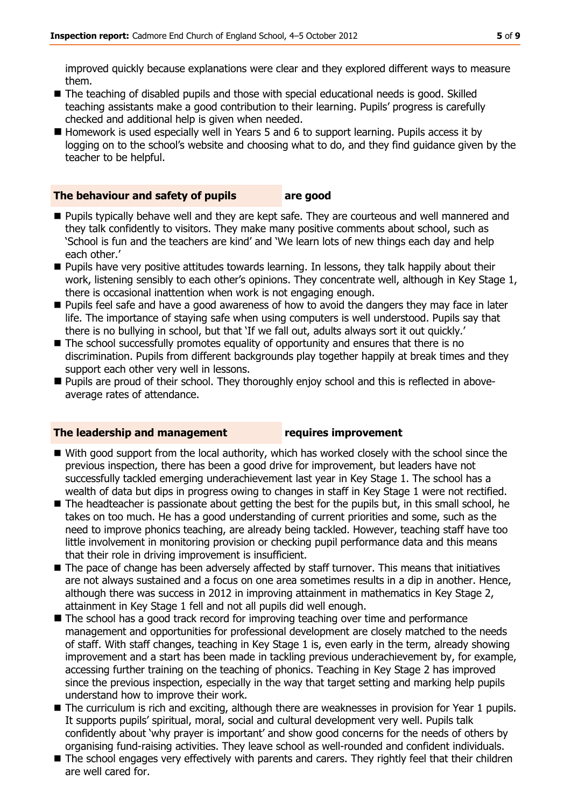improved quickly because explanations were clear and they explored different ways to measure them.

- $\blacksquare$  The teaching of disabled pupils and those with special educational needs is good. Skilled teaching assistants make a good contribution to their learning. Pupils' progress is carefully checked and additional help is given when needed.
- Homework is used especially well in Years 5 and 6 to support learning. Pupils access it by logging on to the school's website and choosing what to do, and they find guidance given by the teacher to be helpful.

### **The behaviour and safety of pupils are good**

- **Pupils typically behave well and they are kept safe. They are courteous and well mannered and** they talk confidently to visitors. They make many positive comments about school, such as 'School is fun and the teachers are kind' and 'We learn lots of new things each day and help each other.'
- **Pupils have very positive attitudes towards learning. In lessons, they talk happily about their** work, listening sensibly to each other's opinions. They concentrate well, although in Key Stage 1, there is occasional inattention when work is not engaging enough.
- **Pupils feel safe and have a good awareness of how to avoid the dangers they may face in later** life. The importance of staying safe when using computers is well understood. Pupils say that there is no bullying in school, but that 'If we fall out, adults always sort it out quickly.'
- The school successfully promotes equality of opportunity and ensures that there is no discrimination. Pupils from different backgrounds play together happily at break times and they support each other very well in lessons.
- **Pupils are proud of their school. They thoroughly enjoy school and this is reflected in above**average rates of attendance.

#### **The leadership and management requires improvement**

- With good support from the local authority, which has worked closely with the school since the previous inspection, there has been a good drive for improvement, but leaders have not successfully tackled emerging underachievement last year in Key Stage 1. The school has a wealth of data but dips in progress owing to changes in staff in Key Stage 1 were not rectified.
- $\blacksquare$  The headteacher is passionate about getting the best for the pupils but, in this small school, he takes on too much. He has a good understanding of current priorities and some, such as the need to improve phonics teaching, are already being tackled. However, teaching staff have too little involvement in monitoring provision or checking pupil performance data and this means that their role in driving improvement is insufficient.
- The pace of change has been adversely affected by staff turnover. This means that initiatives are not always sustained and a focus on one area sometimes results in a dip in another. Hence, although there was success in 2012 in improving attainment in mathematics in Key Stage 2, attainment in Key Stage 1 fell and not all pupils did well enough.
- The school has a good track record for improving teaching over time and performance management and opportunities for professional development are closely matched to the needs of staff. With staff changes, teaching in Key Stage 1 is, even early in the term, already showing improvement and a start has been made in tackling previous underachievement by, for example, accessing further training on the teaching of phonics. Teaching in Key Stage 2 has improved since the previous inspection, especially in the way that target setting and marking help pupils understand how to improve their work.
- The curriculum is rich and exciting, although there are weaknesses in provision for Year 1 pupils. It supports pupils' spiritual, moral, social and cultural development very well. Pupils talk confidently about 'why prayer is important' and show good concerns for the needs of others by organising fund-raising activities. They leave school as well-rounded and confident individuals.
- The school engages very effectively with parents and carers. They rightly feel that their children are well cared for.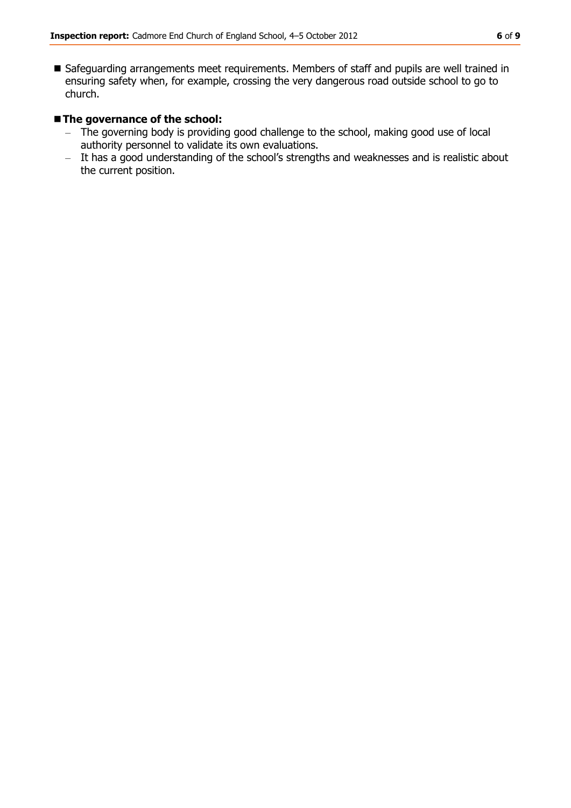■ Safeguarding arrangements meet requirements. Members of staff and pupils are well trained in ensuring safety when, for example, crossing the very dangerous road outside school to go to church.

#### **The governance of the school:**

- The governing body is providing good challenge to the school, making good use of local authority personnel to validate its own evaluations.
- It has a good understanding of the school's strengths and weaknesses and is realistic about the current position.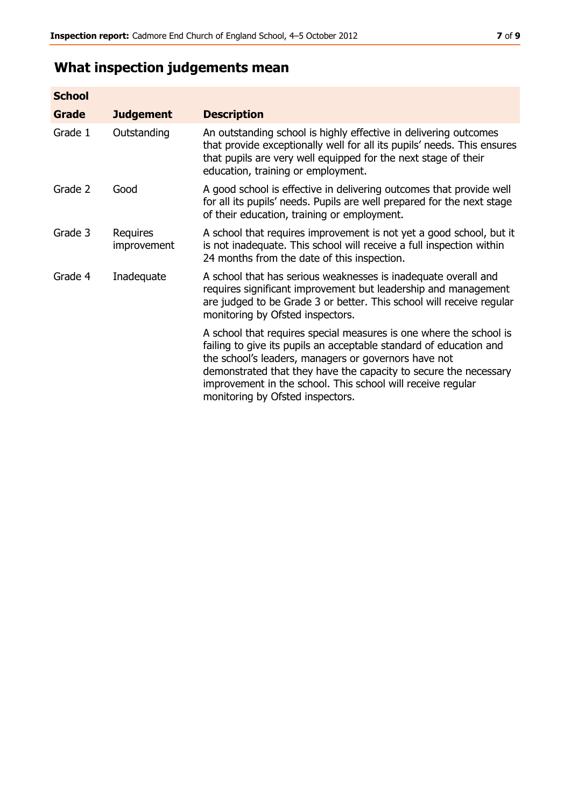# **What inspection judgements mean**

| <b>School</b> |                         |                                                                                                                                                                                                                                                                                                                                                                         |
|---------------|-------------------------|-------------------------------------------------------------------------------------------------------------------------------------------------------------------------------------------------------------------------------------------------------------------------------------------------------------------------------------------------------------------------|
| Grade         | <b>Judgement</b>        | <b>Description</b>                                                                                                                                                                                                                                                                                                                                                      |
| Grade 1       | Outstanding             | An outstanding school is highly effective in delivering outcomes<br>that provide exceptionally well for all its pupils' needs. This ensures<br>that pupils are very well equipped for the next stage of their<br>education, training or employment.                                                                                                                     |
| Grade 2       | Good                    | A good school is effective in delivering outcomes that provide well<br>for all its pupils' needs. Pupils are well prepared for the next stage<br>of their education, training or employment.                                                                                                                                                                            |
| Grade 3       | Requires<br>improvement | A school that requires improvement is not yet a good school, but it<br>is not inadequate. This school will receive a full inspection within<br>24 months from the date of this inspection.                                                                                                                                                                              |
| Grade 4       | Inadequate              | A school that has serious weaknesses is inadequate overall and<br>requires significant improvement but leadership and management<br>are judged to be Grade 3 or better. This school will receive regular<br>monitoring by Ofsted inspectors.                                                                                                                            |
|               |                         | A school that requires special measures is one where the school is<br>failing to give its pupils an acceptable standard of education and<br>the school's leaders, managers or governors have not<br>demonstrated that they have the capacity to secure the necessary<br>improvement in the school. This school will receive regular<br>monitoring by Ofsted inspectors. |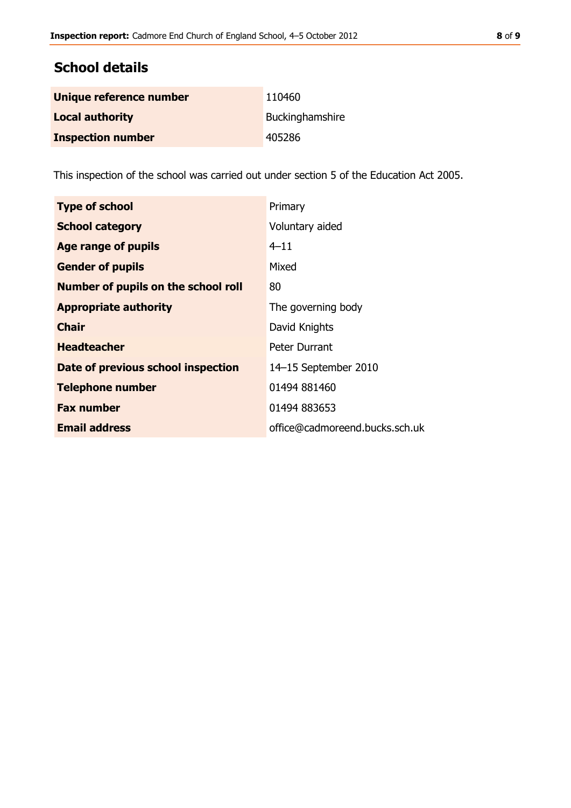# **School details**

| Unique reference number  | 110460          |
|--------------------------|-----------------|
| <b>Local authority</b>   | Buckinghamshire |
| <b>Inspection number</b> | 405286          |

This inspection of the school was carried out under section 5 of the Education Act 2005.

| <b>Type of school</b>                      | Primary                        |
|--------------------------------------------|--------------------------------|
| <b>School category</b>                     | Voluntary aided                |
| Age range of pupils                        | $4 - 11$                       |
| <b>Gender of pupils</b>                    | Mixed                          |
| <b>Number of pupils on the school roll</b> | 80                             |
| <b>Appropriate authority</b>               | The governing body             |
| <b>Chair</b>                               | David Knights                  |
| <b>Headteacher</b>                         | Peter Durrant                  |
| Date of previous school inspection         | 14-15 September 2010           |
| <b>Telephone number</b>                    | 01494 881460                   |
| <b>Fax number</b>                          | 01494 883653                   |
| <b>Email address</b>                       | office@cadmoreend.bucks.sch.uk |